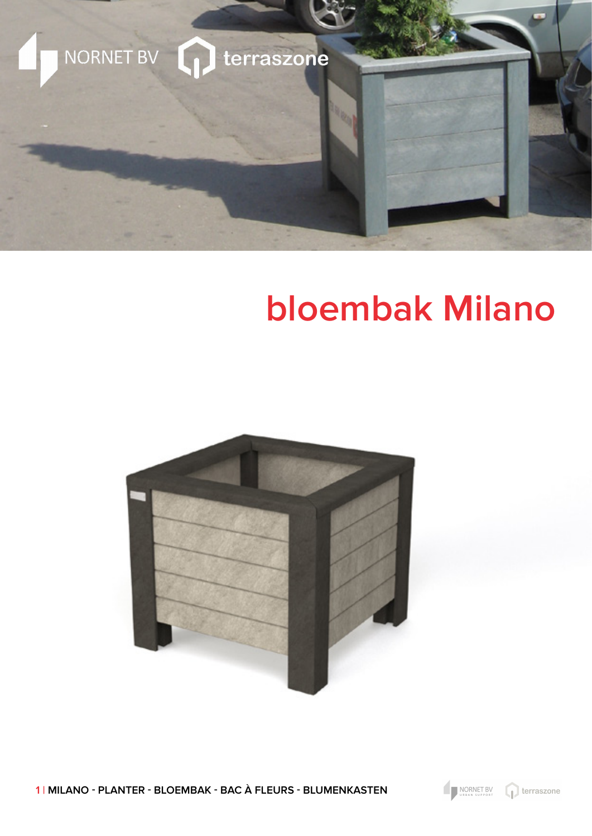

## **bloembak Milano**



1 | MILANO - PLANTER - BLOEMBAK - BAC À FLEURS - BLUMENKASTEN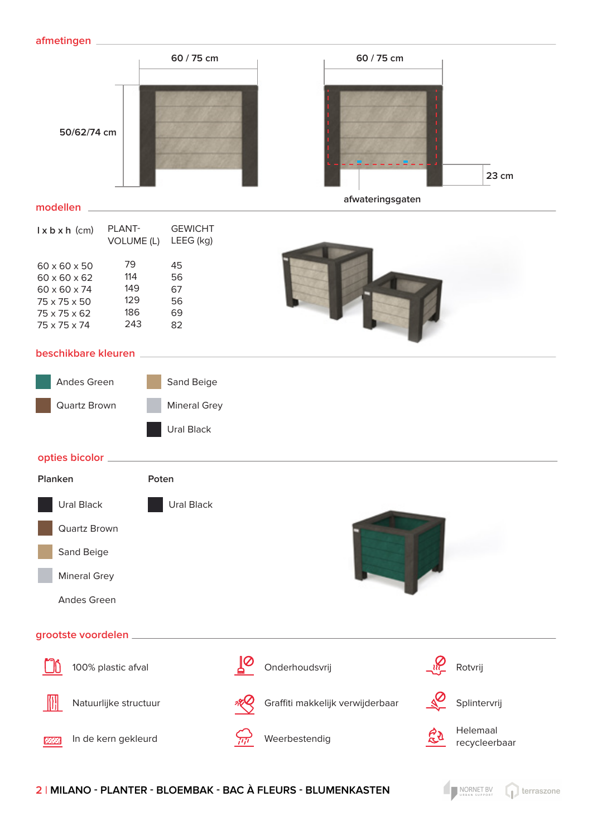